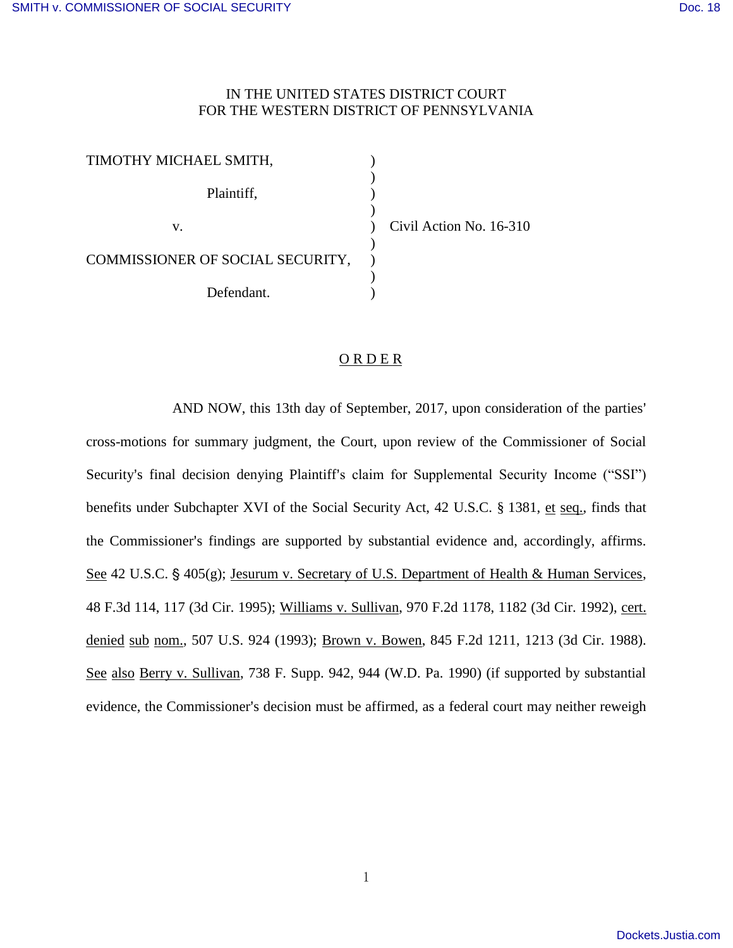## IN THE UNITED STATES DISTRICT COURT FOR THE WESTERN DISTRICT OF PENNSYLVANIA

| TIMOTHY MICHAEL SMITH,           |                         |
|----------------------------------|-------------------------|
| Plaintiff,                       |                         |
| v.                               | Civil Action No. 16-310 |
| COMMISSIONER OF SOCIAL SECURITY, |                         |
| Defendant.                       |                         |

## ORDER

AND NOW, this 13th day of September, 2017, upon consideration of the parties' cross-motions for summary judgment, the Court, upon review of the Commissioner of Social Security's final decision denying Plaintiff's claim for Supplemental Security Income ("SSI") benefits under Subchapter XVI of the Social Security Act, 42 U.S.C. § 1381, et seq., finds that the Commissioner's findings are supported by substantial evidence and, accordingly, affirms. See 42 U.S.C.  $\S$  405(g); Jesurum v. Secretary of U.S. Department of Health & Human Services, 48 F.3d 114, 117 (3d Cir. 1995); Williams v. Sullivan, 970 F.2d 1178, 1182 (3d Cir. 1992), cert. denied sub nom., 507 U.S. 924 (1993); Brown v. Bowen, 845 F.2d 1211, 1213 (3d Cir. 1988). See also Berry v. Sullivan, 738 F. Supp. 942, 944 (W.D. Pa. 1990) (if supported by substantial evidence, the Commissioner's decision must be affirmed, as a federal court may neither reweigh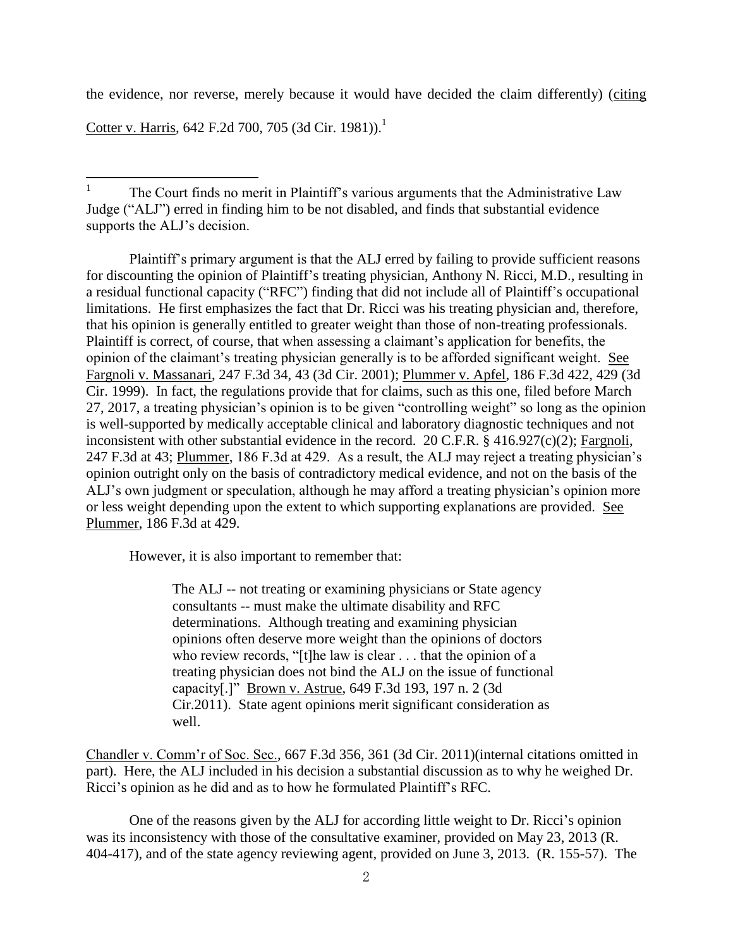the evidence, nor reverse, merely because it would have decided the claim differently) (citing

Cotter v. Harris, 642 F.2d 700, 705 (3d Cir. 1981)).<sup>1</sup>

Plaintiff's primary argument is that the ALJ erred by failing to provide sufficient reasons for discounting the opinion of Plaintiff's treating physician, Anthony N. Ricci, M.D., resulting in a residual functional capacity ("RFC") finding that did not include all of Plaintiff's occupational limitations. He first emphasizes the fact that Dr. Ricci was his treating physician and, therefore, that his opinion is generally entitled to greater weight than those of non-treating professionals. Plaintiff is correct, of course, that when assessing a claimant's application for benefits, the opinion of the claimant's treating physician generally is to be afforded significant weight. See Fargnoli v. Massanari, 247 F.3d 34, 43 (3d Cir. 2001); Plummer v. Apfel, 186 F.3d 422, 429 (3d Cir. 1999). In fact, the regulations provide that for claims, such as this one, filed before March 27, 2017, a treating physician's opinion is to be given "controlling weight" so long as the opinion is well-supported by medically acceptable clinical and laboratory diagnostic techniques and not inconsistent with other substantial evidence in the record. 20 C.F.R. § 416.927(c)(2); Fargnoli, 247 F.3d at 43; Plummer, 186 F.3d at 429. As a result, the ALJ may reject a treating physician's opinion outright only on the basis of contradictory medical evidence, and not on the basis of the ALJ's own judgment or speculation, although he may afford a treating physician's opinion more or less weight depending upon the extent to which supporting explanations are provided. See Plummer, 186 F.3d at 429.

However, it is also important to remember that:

The ALJ -- not treating or examining physicians or State agency consultants -- must make the ultimate disability and RFC determinations. Although treating and examining physician opinions often deserve more weight than the opinions of doctors who review records, "[t]he law is clear . . . that the opinion of a treating physician does not bind the ALJ on the issue of functional capacity[.]" Brown v. Astrue, 649 F.3d 193, 197 n. 2 (3d Cir.2011). State agent opinions merit significant consideration as well.

Chandler v. Comm'r of Soc. Sec., 667 F.3d 356, 361 (3d Cir. 2011)(internal citations omitted in part). Here, the ALJ included in his decision a substantial discussion as to why he weighed Dr. Ricci's opinion as he did and as to how he formulated Plaintiff's RFC.

 One of the reasons given by the ALJ for according little weight to Dr. Ricci's opinion was its inconsistency with those of the consultative examiner, provided on May 23, 2013 (R. 404-417), and of the state agency reviewing agent, provided on June 3, 2013. (R. 155-57). The

<sup>|&</sup>lt;br>|<br>| The Court finds no merit in Plaintiff's various arguments that the Administrative Law Judge ("ALJ") erred in finding him to be not disabled, and finds that substantial evidence supports the ALJ's decision.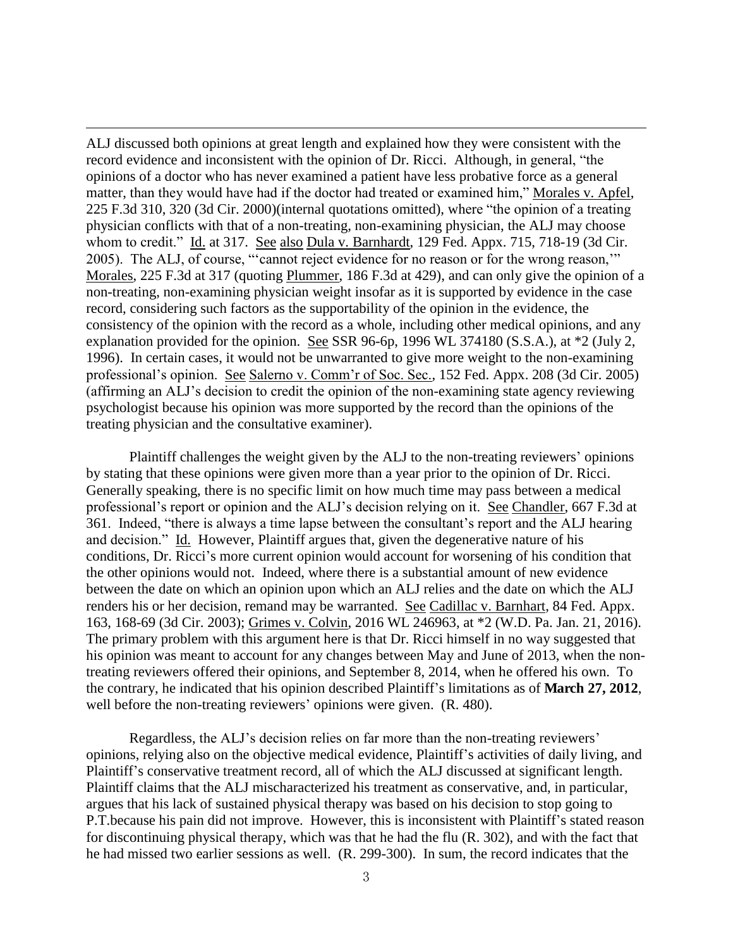ALJ discussed both opinions at great length and explained how they were consistent with the record evidence and inconsistent with the opinion of Dr. Ricci. Although, in general, "the opinions of a doctor who has never examined a patient have less probative force as a general matter, than they would have had if the doctor had treated or examined him," Morales v. Apfel, 225 F.3d 310, 320 (3d Cir. 2000)(internal quotations omitted), where "the opinion of a treating physician conflicts with that of a non-treating, non-examining physician, the ALJ may choose whom to credit." Id. at 317. See also Dula v. Barnhardt, 129 Fed. Appx. 715, 718-19 (3d Cir. 2005). The ALJ, of course, "'cannot reject evidence for no reason or for the wrong reason,'" Morales, 225 F.3d at 317 (quoting Plummer, 186 F.3d at 429), and can only give the opinion of a non-treating, non-examining physician weight insofar as it is supported by evidence in the case record, considering such factors as the supportability of the opinion in the evidence, the consistency of the opinion with the record as a whole, including other medical opinions, and any explanation provided for the opinion. See SSR 96-6p, 1996 WL 374180 (S.S.A.), at \*2 (July 2, 1996). In certain cases, it would not be unwarranted to give more weight to the non-examining professional's opinion. See Salerno v. Comm'r of Soc. Sec., 152 Fed. Appx. 208 (3d Cir. 2005) (affirming an ALJ's decision to credit the opinion of the non-examining state agency reviewing psychologist because his opinion was more supported by the record than the opinions of the treating physician and the consultative examiner).

 $\overline{a}$ 

Plaintiff challenges the weight given by the ALJ to the non-treating reviewers' opinions by stating that these opinions were given more than a year prior to the opinion of Dr. Ricci. Generally speaking, there is no specific limit on how much time may pass between a medical professional's report or opinion and the ALJ's decision relying on it. See Chandler, 667 F.3d at 361. Indeed, "there is always a time lapse between the consultant's report and the ALJ hearing and decision." Id. However, Plaintiff argues that, given the degenerative nature of his conditions, Dr. Ricci's more current opinion would account for worsening of his condition that the other opinions would not. Indeed, where there is a substantial amount of new evidence between the date on which an opinion upon which an ALJ relies and the date on which the ALJ renders his or her decision, remand may be warranted. See Cadillac v. Barnhart, 84 Fed. Appx. 163, 168-69 (3d Cir. 2003); Grimes v. Colvin, 2016 WL 246963, at \*2 (W.D. Pa. Jan. 21, 2016). The primary problem with this argument here is that Dr. Ricci himself in no way suggested that his opinion was meant to account for any changes between May and June of 2013, when the nontreating reviewers offered their opinions, and September 8, 2014, when he offered his own. To the contrary, he indicated that his opinion described Plaintiff's limitations as of **March 27, 2012**, well before the non-treating reviewers' opinions were given. (R. 480).

Regardless, the ALJ's decision relies on far more than the non-treating reviewers' opinions, relying also on the objective medical evidence, Plaintiff's activities of daily living, and Plaintiff's conservative treatment record, all of which the ALJ discussed at significant length. Plaintiff claims that the ALJ mischaracterized his treatment as conservative, and, in particular, argues that his lack of sustained physical therapy was based on his decision to stop going to P.T.because his pain did not improve. However, this is inconsistent with Plaintiff's stated reason for discontinuing physical therapy, which was that he had the flu (R. 302), and with the fact that he had missed two earlier sessions as well. (R. 299-300). In sum, the record indicates that the